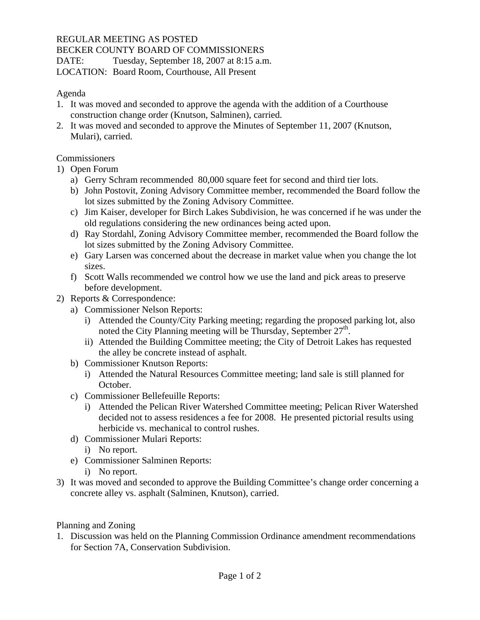## REGULAR MEETING AS POSTED

BECKER COUNTY BOARD OF COMMISSIONERS

DATE: Tuesday, September 18, 2007 at 8:15 a.m.

LOCATION: Board Room, Courthouse, All Present

## Agenda

- 1. It was moved and seconded to approve the agenda with the addition of a Courthouse construction change order (Knutson, Salminen), carried.
- 2. It was moved and seconded to approve the Minutes of September 11, 2007 (Knutson, Mulari), carried.

## **Commissioners**

- 1) Open Forum
	- a) Gerry Schram recommended 80,000 square feet for second and third tier lots.
	- b) John Postovit, Zoning Advisory Committee member, recommended the Board follow the lot sizes submitted by the Zoning Advisory Committee.
	- c) Jim Kaiser, developer for Birch Lakes Subdivision, he was concerned if he was under the old regulations considering the new ordinances being acted upon.
	- d) Ray Stordahl, Zoning Advisory Committee member, recommended the Board follow the lot sizes submitted by the Zoning Advisory Committee.
	- e) Gary Larsen was concerned about the decrease in market value when you change the lot sizes.
	- f) Scott Walls recommended we control how we use the land and pick areas to preserve before development.
- 2) Reports & Correspondence:
	- a) Commissioner Nelson Reports:
		- i) Attended the County/City Parking meeting; regarding the proposed parking lot, also noted the City Planning meeting will be Thursday, September  $27<sup>th</sup>$ .
		- ii) Attended the Building Committee meeting; the City of Detroit Lakes has requested the alley be concrete instead of asphalt.
	- b) Commissioner Knutson Reports:
		- i) Attended the Natural Resources Committee meeting; land sale is still planned for October.
	- c) Commissioner Bellefeuille Reports:
		- i) Attended the Pelican River Watershed Committee meeting; Pelican River Watershed decided not to assess residences a fee for 2008. He presented pictorial results using herbicide vs. mechanical to control rushes.
	- d) Commissioner Mulari Reports:
		- i) No report.
	- e) Commissioner Salminen Reports:
		- i) No report.
- 3) It was moved and seconded to approve the Building Committee's change order concerning a concrete alley vs. asphalt (Salminen, Knutson), carried.

Planning and Zoning

1. Discussion was held on the Planning Commission Ordinance amendment recommendations for Section 7A, Conservation Subdivision.